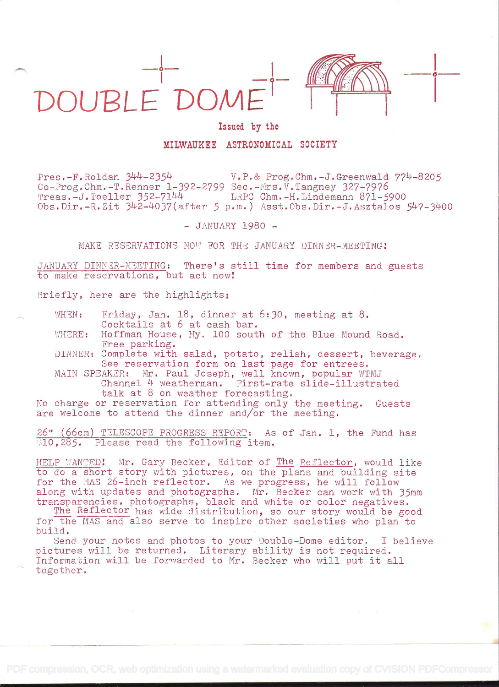



 $\overline{\phantom{a}}$ 

## Issued by the

## MILWAUKEE ASTRONOMICAL SOCIETY

Pres.-F.Roldan  $344-2354$ <br>Co-Prog.Chm.-T.Renner 1-392-2799 Sec.-Mrs.V.Tangney 327-7976  $Treas.-J.Toeller 352-7144$  LRPC Chm.-H.Lindemann 871-5900  $Obs.Dir.-R.Zit 342-4037(after 5 p.m.)$  Asst.Obs.Dir.-J.Asztalos  $547-3400$ 

- JANUARY 1980 -

MAKE RESERVATIONS NOW FOR THE JANUARY DINNER-MEETING!

JANUARY DINNER-MEETING: There's still time for members and guests to make reservations, but act now!

Briefly, here are the highlights;

WHEN: Friday, Jan. 18, dinner at 6:30, meeting at 8. Cocktails at 6 at cash bar.

WHERE: Hoffman House, Hy. 100 south of the Blue Mound Road. Free parking.

DINNER: Complete with salad, potato, relish, dessert, beverage.<br>See reservation form on last page for entrees.

MAIN SPEAKER: Mr. Paul Joseph, well known, popular WTMJ Channel 4 weatherman. First-rate slide-illustrated talk at 8 on weather forecasting.

No charge or reservation for attending only the meeting. Guests are welcome to attend the dinner and/or the meeting.

26" (66cm) TELESCOPE PROGRESS REPORT: As of Jan. 1, the Fand has  $[310, 285.$  Please read the following item.

HELP WANTED! Mr. Gary Becker, Editor of The Reflector, would like<br>to do a short story with pictures, on the plans and building site for the MAS 26-inch reflector. As we progress, he will follow<br>along with updates and photographs. Mr. Becker can work with 35mm

transparencies, photographs, black and white or color negatives.<br>The Reflector has wide distribution, so our story would be good<br>for the MAS and also serve to inspire other societies who plan to<br>build.<br>Send your notes and

pictures will be returned. Literary ability is not required.<br>Information will be forwarded to Mr. Becker who will put it all together.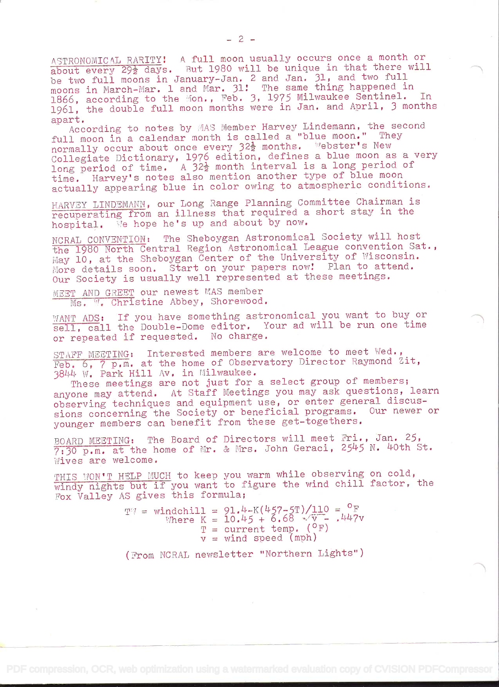ASTRONOMICAL RARITY: A full moon usually occurs once a month or about every 29<sup>1</sup> days. But 1980 will be unique in that there will be two full moons in January-Jan. 2 and Jan. 31, and two full moons in March-Mar. 1 and Mar. 31! The same thing happened in 1866, according to the Mon., Feb. 3, 1975 Milwaukee Sentinel. In 1961, the double full moon months were in Jan. and April, 3 months

According to notes by MAS Member Harvey Lindemann, the second full moon in a calendar month is called a "blue moon." They normally occur about once every 32<sup>1</sup> months. Webster's New Collegiate Dictionary, 1976 edition, defines a blue moon as a very long period of time. A  $32\frac{1}{2}$  month interval is a long period of time. Harvey's notes also mention another type of blue moon actually appearing blue in color owing to atmospheric conditions.

HARVEY LINDEMANN, our Long Range Planning Committee Chairman is recuperating from an illness that required a short stay in the hospital. We hope he's up and about by now.

NCRAL CONVENTION: The Sheboygan Astronomical Society will host the 1980 North Central Region Astronomical League convention Sat., May 10, at the Sheboygan Center of the University of Wisconsin. More details soon. Start on your papers now! Plan to attend. Our Society is usually well represented at these meetings.

MEET AND GREET our newest MAS member Ms. W. Christine Abbey, Shorewood.

WANT ADS: If you have something astronomical you want to buy or sell, call the Double-Dome editor. Your ad will be run one time or repeated if requested. No charge.

STAFF MEETING: Interested members are welcome to meet Wed., Feb. 6, 7 p.m. at the home of Observatory Director Raymond Zit, 3844 W. Park Hill Av. in Milwaukee.

These meetings are not just for a select group of members; anyone may attend. At Staff Meetings you may ask questions, learn observing techniques and equipment use, or enter general discussions concerning the Society or beneficial programs. Our newer or younger members can benefit from these get-togethers.

BOARD MEETING: The Board of Directors will meet Fri. , Jan. 25,  $7:30$  p.m. at the home of Mr. & Mrs. John Geraci, 2545 N. 40th St. Wives are welcome.

THIS WON'T HELP MUCH to keep you warm while observing on cold, windy nights but if you want to figure the wind chill factor, the Fox Valley AS gives this formula;

> TT = windchill =  $91.4-K(457-5T)/110 = P_F$ <br>Where K = 10.45 + 6.68  $\nabla V = \mu 47V$  $T = current temp. (°F)$  $v =$  wind speed (mph)

> (Srom NOPAL newsletter "Northern Lights")